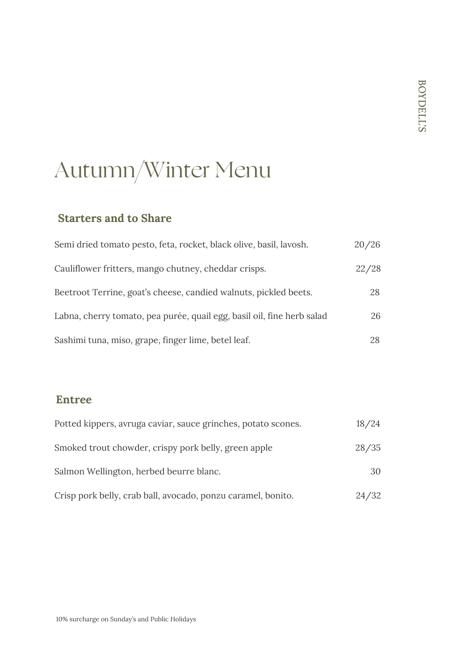# Autumn/Winter Menu

### **Starters and to Share**

| Semi dried tomato pesto, feta, rocket, black olive, basil, lavosh.     | 20/26 |
|------------------------------------------------------------------------|-------|
| Cauliflower fritters, mango chutney, cheddar crisps.                   | 22/28 |
| Beetroot Terrine, goat's cheese, candied walnuts, pickled beets.       | 28    |
| Labna, cherry tomato, pea purée, quail egg, basil oil, fine herb salad | 26    |
| Sashimi tuna, miso, grape, finger lime, betel leaf.                    | 28    |

#### **Entree**

| Potted kippers, avruga caviar, sauce grinches, potato scones. | 18/24 |
|---------------------------------------------------------------|-------|
| Smoked trout chowder, crispy pork belly, green apple          | 28/35 |
| Salmon Wellington, herbed beurre blanc.                       | 30    |
| Crisp pork belly, crab ball, avocado, ponzu caramel, bonito.  | 24/32 |